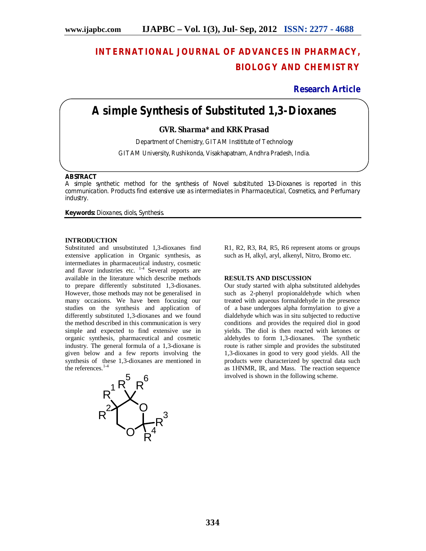# **INTERNATIONAL JOURNAL OF ADVANCES IN PHARMACY, BIOLOGY AND CHEMISTRY**

**Research Article**

# **A simple Synthesis of Substituted 1,3-Dioxanes**

# **GVR. Sharma\* and KRK Prasad**

Department of Chemistry, GITAM Instititute of Technology

GITAM University, Rushikonda, Visakhapatnam, Andhra Pradesh, India.

### **ABSTRACT**

A simple synthetic method for the synthesis of Novel substituted 1,3-Dioxanes is reported in this communication. Products find extensive use as intermediates in Pharmaceutical, Cosmetics, and Perfumary industry.

**Keywords:** Dioxanes, diols, Synthesis.

### **INTRODUCTION**

Substituted and unsubstituted 1,3-dioxanes find extensive application in Organic synthesis, as intermediates in pharmaceutical industry, cosmetic and flavor industries etc.  $1-4$  Several reports are available in the literature which describe methods to prepare differently substituted 1,3-dioxanes. However, those methods may not be generalised in many occasions. We have been focusing our studies on the synthesis and application of differently substituted 1,3-dioxanes and we found the method described in this communication is very simple and expected to find extensive use in organic synthesis, pharmaceutical and cosmetic industry. The general formula of a 1,3-dioxane is given below and a few reports involving the synthesis of these 1,3-dioxanes are mentioned in the references.<sup>1-4</sup>



R1, R2, R3, R4, R5, R6 represent atoms or groups such as H, alkyl, aryl, alkenyl, Nitro, Bromo etc.

### **RESULTS AND DISCUSSION**

Our study started with alpha substituted aldehydes such as 2-phenyl propionaldehyde which when treated with aqueous formaldehyde in the presence of a base undergoes alpha formylation to give a dialdehyde which was in situ subjected to reductive conditions and provides the required diol in good yields. The diol is then reacted with ketones or aldehydes to form 1,3-dioxanes. The synthetic route is rather simple and provides the substituted 1,3-dioxanes in good to very good yields. All the products were characterized by spectral data such as 1HNMR, IR, and Mass. The reaction sequence involved is shown in the following scheme.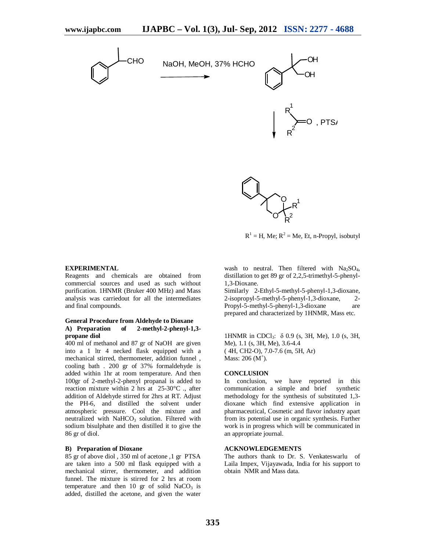

 $R<sup>1</sup> = H$ , Me;  $R<sup>2</sup> = Me$ , Et, n-Propyl, isobutyl

### **EXPERIMENTAL**

Reagents and chemicals are obtained from commercial sources and used as such without purification. 1HNMR (Bruker 400 MHz) and Mass analysis was carriedout for all the intermediates and final compounds.

# **General Procedure from Aldehyde to Dioxane A) Preparation of 2-methyl-2-phenyl-1,3 propane diol**

400 ml of methanol and 87 gr of NaOH are given into a 1 ltr 4 necked flask equipped with a mechanical stirred, thermometer, addition funnel , cooling bath . 200 gr of 37% formaldehyde is added within 1hr at room temperature. And then 100gr of 2-methyl-2-phenyl propanal is added to reaction mixture within 2 hrs at 25-30°C ., after addition of Aldehyde stirred for 2hrs at RT. Adjust the PH-6, and distilled the solvent under atmospheric pressure. Cool the mixture and neutralized with NaHCO<sub>3</sub> solution. Filtered with sodium bisulphate and then distilled it to give the 86 gr of diol.

# **B) Preparation of Dioxane**

85 gr of above diol , 350 ml of acetone ,1 gr PTSA are taken into a 500 ml flask equipped with a mechanical stirrer, thermometer, and addition funnel. The mixture is stirred for 2 hrs at room temperature .and then 10 gr of solid  $NaCO<sub>3</sub>$  is added, distilled the acetone, and given the water

wash to neutral. Then filtered with  $Na<sub>2</sub>SO<sub>4</sub>$ , distillation to get 89 gr of 2,2,5-trimethyl-5-phenyl-1,3-Dioxane.

O R 2

Similarly 2-Ethyl-5-methyl-5-phenyl-1,3-dioxane, 2-isopropyl-5-methyl-5-phenyl-1,3-dioxane, 2- Propyl-5-methyl-5-phenyl-1,3-dioxane are prepared and characterized by 1HNMR, Mass etc.

1HNMR in CDCl3: δ 0.9 (s, 3H, Me), 1.0 (s, 3H, Me), 1.1 (s, 3H, Me), 3.6-4.4 ( 4H, CH2-O), 7.0-7.6 (m, 5H, Ar) Mass:  $206 (M^{\dagger})$ .

### **CONCLUSION**

In conclusion, we have reported in this communication a simple and brief synthetic methodology for the synthesis of substituted 1,3 dioxane which find extensive application in pharmaceutical, Cosmetic and flavor industry apart from its potential use in organic synthesis. Further work is in progress which will be communicated in an appropriate journal.

### **ACKNOWLEDGEMENTS**

The authors thank to Dr. S. Venkateswarlu of Laila Impex, Vijayawada, India for his support to obtain NMR and Mass data.